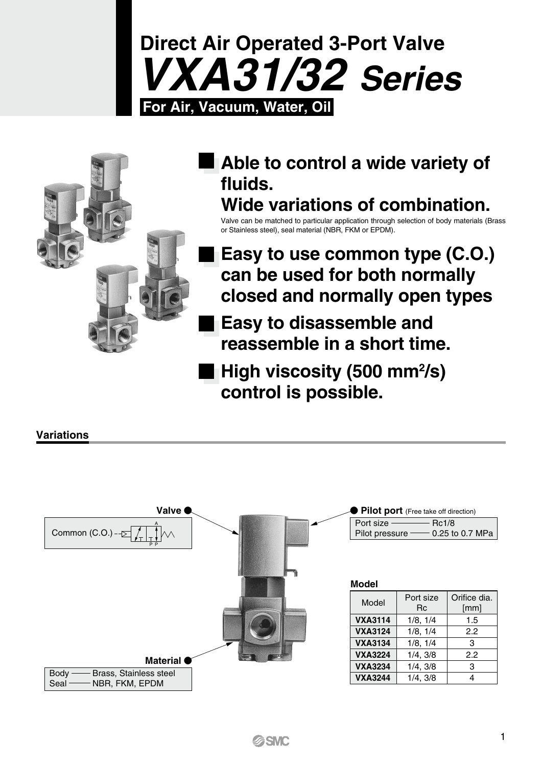



### **Able to control a wide variety of fluids. Wide variations of combination.**

Valve can be matched to particular application through selection of body materials (Brass or Stainless steel), seal material (NBR, FKM or EPDM).

- **Easy to use common type (C.O.) can be used for both normally closed and normally open types**
- **Easy to disassemble and reassemble in a short time.**
- High viscosity (500 mm<sup>2</sup>/s) **control is possible.**

### **Variations**

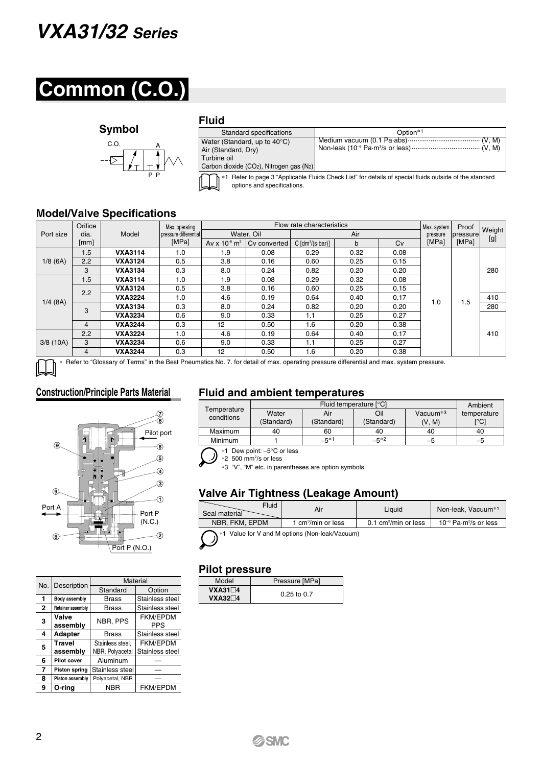## *VXA31/32 Series*

# **Common (C.O.)**

#### **Symbol**



### **Fluid**

| Standard specifications                                                                                                                           | Option <sup>*1</sup> |  |  |  |
|---------------------------------------------------------------------------------------------------------------------------------------------------|----------------------|--|--|--|
| Water (Standard, up to $40^{\circ}$ C)<br>Air (Standard, Dry)<br>Turbine oil<br>Carbon dioxide (CO <sub>2</sub> ), Nitrogen gas (N <sub>2</sub> ) |                      |  |  |  |
| *1 Refer to page 3 "Applicable Fluids Check List" for details of special fluids outside of the standard<br>options and specifications.            |                      |  |  |  |

### **Model/Valve Specifications**

|            | Orifice |                | Max. operating        |                               | Flow rate characteristics |                                     |      |                         |       |                    |     |
|------------|---------|----------------|-----------------------|-------------------------------|---------------------------|-------------------------------------|------|-------------------------|-------|--------------------|-----|
| Port size  | dia.    | Model          | pressure differential |                               | Water, Oil                |                                     |      | Max. system<br>pressure |       | Weight<br>pressure |     |
|            | [mm]    |                | [MPa]                 | Av x $10^{-6}$ m <sup>2</sup> | Cv converted              | $C \left[dm^3/(s \cdot bar)\right]$ | b    | Cv                      | [MPa] | [MPa]              | [g] |
|            | 1.5     | <b>VXA3114</b> | 1.0                   | 1.9                           | 0.08                      | 0.29                                | 0.32 | 0.08                    |       |                    |     |
| 1/8(6A)    | 2.2     | <b>VXA3124</b> | 0.5                   | 3.8                           | 0.16                      | 0.60                                | 0.25 | 0.15                    |       |                    |     |
|            | 3       | <b>VXA3134</b> | 0.3                   | 8.0                           | 0.24                      | 0.82                                | 0.20 | 0.20                    |       |                    | 280 |
|            | 1.5     | <b>VXA3114</b> | 1.0                   | 1.9                           | 0.08                      | 0.29                                | 0.32 | 0.08                    |       |                    |     |
|            | 2.2     | <b>VXA3124</b> | 0.5                   | 3.8                           | 0.16                      | 0.60                                | 0.25 | 0.15                    |       |                    |     |
| $1/4$ (8A) |         | <b>VXA3224</b> | 1.0                   | 4.6                           | 0.19                      | 0.64                                | 0.40 | 0.17                    | 1.0   | 1.5                | 410 |
|            | 3       | <b>VXA3134</b> | 0.3                   | 8.0                           | 0.24                      | 0.82                                | 0.20 | 0.20                    |       |                    | 280 |
|            |         | <b>VXA3234</b> | 0.6                   | 9.0                           | 0.33                      | 1.1                                 | 0.25 | 0.27                    |       |                    |     |
|            | 4       | <b>VXA3244</b> | 0.3                   | 12 <sup>2</sup>               | 0.50                      | 1.6                                 | 0.20 | 0.38                    |       |                    |     |
| 3/8(10A)   | 2.2     | <b>VXA3224</b> | 1.0                   | 4.6                           | 0.19                      | 0.64                                | 0.40 | 0.17                    |       |                    | 410 |
|            | 3       | <b>VXA3234</b> | 0.6                   | 9.0                           | 0.33                      | 1.1                                 | 0.25 | 0.27                    |       |                    |     |
|            | 4       | <b>VXA3244</b> | 0.3                   | $12 \overline{ }$             | 0.50                      | 1.6                                 | 0.20 | 0.38                    |       |                    |     |

Refer to "Glossary of Terms" in the Best Pneumatics No. 7. for detail of max. operating pressure differential and max. system pressure.



| No.          | Description          | Material         |                 |  |  |  |  |
|--------------|----------------------|------------------|-----------------|--|--|--|--|
|              |                      | Standard         | Option          |  |  |  |  |
| 1            | Body assembly        | Brass            | Stainless steel |  |  |  |  |
| $\mathbf{2}$ | Retainer assembly    | Brass            | Stainless steel |  |  |  |  |
|              | Valve                | NBR, PPS         | <b>FKM/EPDM</b> |  |  |  |  |
| 3            | assembly             |                  | PPS             |  |  |  |  |
| 4            | <b>Adapter</b>       | Brass            | Stainless steel |  |  |  |  |
| 5            | <b>Travel</b>        | Stainless steel. | <b>FKM/EPDM</b> |  |  |  |  |
|              | assembly             | NBR, Polyacetal  | Stainless steel |  |  |  |  |
| 6            | Pilot cover          | Aluminum         |                 |  |  |  |  |
| 7            | <b>Piston spring</b> | Stainless steel  |                 |  |  |  |  |
| 8            | Piston assembly      | Polyacetal, NBR  |                 |  |  |  |  |
| 9            | O-rina               | <b>NBR</b>       | <b>FKM/EPDM</b> |  |  |  |  |

### **Construction/Principle Parts Material Fluid and ambient temperatures**

| Temperature<br>conditions |            | Ambient    |            |             |             |
|---------------------------|------------|------------|------------|-------------|-------------|
|                           | Water      | Air        | Oil        | Vacuum $*3$ | temperature |
|                           | (Standard) | (Standard) | (Standard) | (V, M)      | [°C]        |
| Maximum                   | 40         | 60         | 40         | 40          | 40          |
| Minimum                   |            | $-5*1$     | $-5*2$     | -5          | –5          |

\*1 Dew point: –5°C or less

\*2 500 mm2 /s or less

\*3 "V", "M" etc. in parentheses are option symbols.

### **Valve Air Tightness (Leakage Amount)**

| Fluid<br>Seal material |                   | Liauid                | Non-leak. Vacuum <sup>*1</sup>               |
|------------------------|-------------------|-----------------------|----------------------------------------------|
| NBR. FKM. EPDM         | 1 cm3/min or less | 0.1 $cm3/min$ or less | $10^{-6}$ Pa $\cdot$ m $\frac{3}{5}$ or less |

\*1 Value for V and M options (Non-leak/Vacuum)

### **Pilot pressure**

| Model                           | Pressure [MPa]  |
|---------------------------------|-----------------|
| $VXA31\Box4$<br>$VXA32\square4$ | $0.25$ to $0.7$ |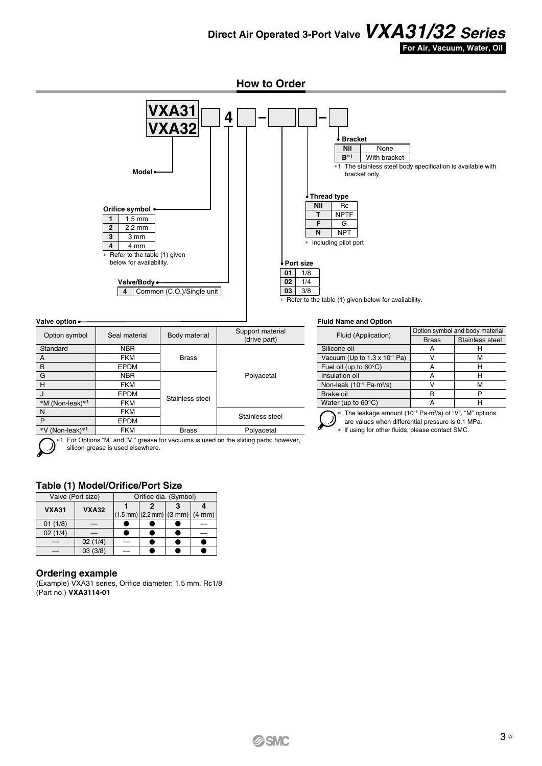**Direct Air Operated 3-Port Valve***VXA31/32 Series* **For Air, Vacuum, Water, Oil**

**How to Order**



| Valve option •  |               |                 |                                  |  |  |  |
|-----------------|---------------|-----------------|----------------------------------|--|--|--|
| Option symbol   | Seal material | Body material   | Support material<br>(drive part) |  |  |  |
| Standard        | <b>NBR</b>    |                 |                                  |  |  |  |
| A               | <b>FKM</b>    | <b>Brass</b>    |                                  |  |  |  |
| B               | <b>EPDM</b>   |                 |                                  |  |  |  |
| G               | <b>NBR</b>    |                 | Polyacetal                       |  |  |  |
| H               | <b>FKM</b>    |                 |                                  |  |  |  |
| J               | <b>EPDM</b>   | Stainless steel |                                  |  |  |  |
| *M (Non-leak)*1 | <b>FKM</b>    |                 |                                  |  |  |  |
| N               | <b>FKM</b>    |                 | Stainless steel                  |  |  |  |
| P               | <b>EPDM</b>   |                 |                                  |  |  |  |
| *V (Non-leak)*1 | <b>FKM</b>    | <b>Brass</b>    | Polyacetal                       |  |  |  |

\*1 For Options "M" and "V," grease for vacuums is used on the sliding parts; however, silicon grease is used elsewhere.

#### **Table (1) Model/Orifice/Port Size**

| Valve (Port size) |              | Orifice dia. (Symbol)                                           |  |  |  |  |
|-------------------|--------------|-----------------------------------------------------------------|--|--|--|--|
| <b>VXA31</b>      | <b>VXA32</b> |                                                                 |  |  |  |  |
|                   |              | $ (1.5 \text{ mm}) (2.2 \text{ mm}) $ (3 mm) $ (4 \text{ mm}) $ |  |  |  |  |
| 01(1/8)           |              |                                                                 |  |  |  |  |
| 02(1/4)           |              |                                                                 |  |  |  |  |
|                   | 02(1/4)      |                                                                 |  |  |  |  |
|                   | 03(3/8)      |                                                                 |  |  |  |  |

#### **Ordering example**

(Example) VXA31 series, Orifice diameter: 1.5 mm, Rc1/8 (Part no.) **VXA3114-01**

#### **Fluid Name and Option**

|                                                  | Option symbol and body material |                 |  |  |
|--------------------------------------------------|---------------------------------|-----------------|--|--|
| Fluid (Application)                              | <b>Brass</b>                    | Stainless steel |  |  |
| Silicone oil                                     | А                               |                 |  |  |
| Vacuum (Up to $1.3 \times 10^{-1}$ Pa)           |                                 | м               |  |  |
| Fuel oil (up to $60^{\circ}$ C)                  |                                 |                 |  |  |
| Insulation oil                                   | А                               | н               |  |  |
| Non-leak (10 <sup>-6</sup> Pa-m <sup>3</sup> /s) |                                 | м               |  |  |
| Brake oil                                        |                                 | ₽               |  |  |
| Water (up to $60^{\circ}$ C)                     |                                 |                 |  |  |

 $*$  The leakage amount (10<sup>-6</sup> Pa $\cdot$ m<sup>3</sup>/s) of "V", "M" options

are values when differential pressure is 0.1 MPa.

\* lf using for other fluids, please contact SMC.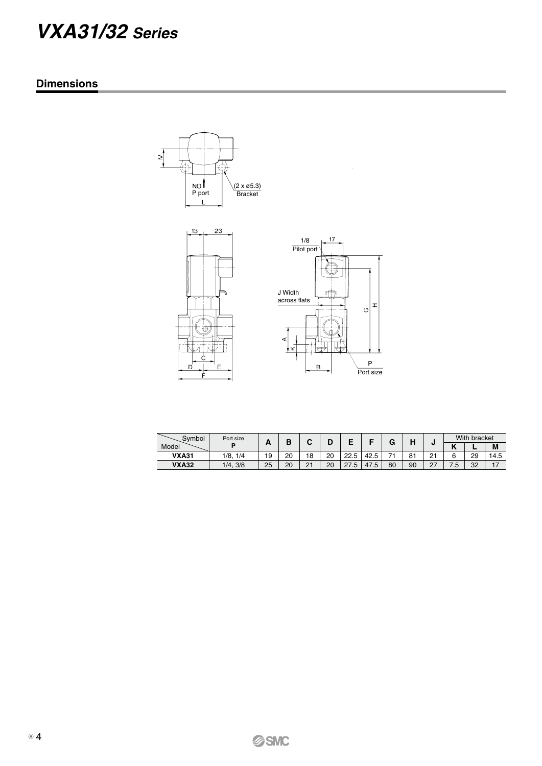# *VXA31/32 Series*

### **Dimensions**





| Symbol       | Port size |           | n  | ~  |    |           |      | G   | ., |                      |           | With bracket |      |
|--------------|-----------|-----------|----|----|----|-----------|------|-----|----|----------------------|-----------|--------------|------|
| Model        |           | <u>гч</u> |    | ◡  |    |           |      |     | п  |                      | . .<br>г. |              | M    |
| <b>VXA31</b> | /8<br>1/4 | 19        | 20 | 18 | 20 | 22.5      | 42.5 | - - | 81 | o-<br>- 1            | 6         | 29           | 14.5 |
| <b>VXA32</b> | 1/4, 3/8  | 25        | 20 | 21 | 20 | 27<br>5.' | 47.5 | 80  | 90 | $\sim$<br>$\epsilon$ | . 5       | 32           | 17   |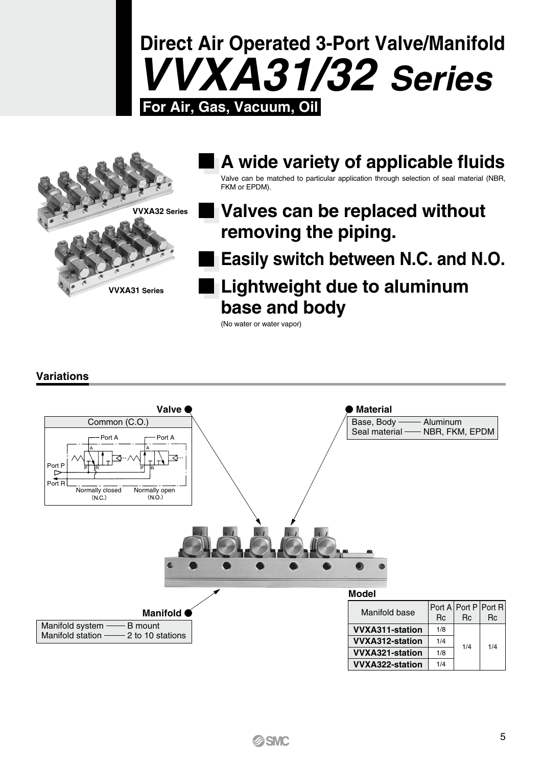



### **A wide variety of applicable fluids** Valve can be matched to particular application through selection of seal material (NBR, FKM or EPDM).

### **Valves can be replaced without removing the piping.**

**Easily switch between N.C. and N.O.**

### **Lightweight due to aluminum base and body**

(No water or water vapor)

### **Variations**

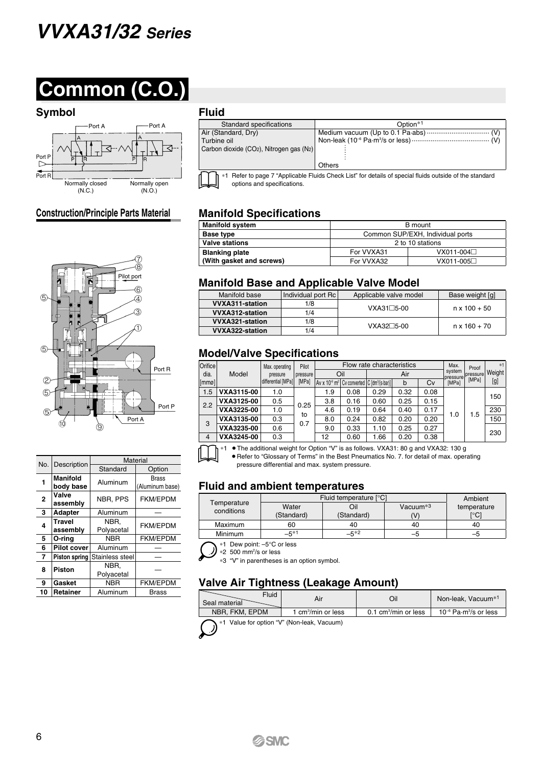# *VVXA31/32 Series*



### **Symbol Fluid**



### **Construction/Principle Parts Material**



| No.                     | Material<br>Description   |                               |                                 |  | • Refer to "Glos<br>pressure differ                       |       |
|-------------------------|---------------------------|-------------------------------|---------------------------------|--|-----------------------------------------------------------|-------|
|                         |                           | Standard                      | Option                          |  |                                                           |       |
| 1                       | Manifold<br>body base     | Aluminum                      | <b>Brass</b><br>(Aluminum base) |  | <b>Fluid and ambig</b>                                    |       |
| $\mathbf{2}$            | Valve<br>assembly         | NBR, PPS                      | <b>FKM/EPDM</b>                 |  | Temperature                                               |       |
| 3                       | <b>Adapter</b>            | Aluminum                      |                                 |  | conditions                                                |       |
| 4                       | <b>Travel</b><br>assembly | NBR.<br>Polyacetal            | <b>FKM/EPDM</b>                 |  | Maximum<br>Minimum                                        |       |
| 5                       | O-ring                    | <b>NBR</b>                    | <b>FKM/EPDM</b>                 |  |                                                           |       |
| 6                       | <b>Pilot cover</b>        | Aluminum                      |                                 |  | Dew point: -5°C<br>*1<br>*2 500 mm <sup>2</sup> /s or les |       |
| $\overline{\mathbf{r}}$ |                           | Piston spring Stainless steel |                                 |  | *3 "V" in parenthese                                      |       |
| 8                       | <b>Piston</b>             | NBR.<br>Polyacetal            |                                 |  |                                                           |       |
| 9                       | Gasket                    | <b>NBR</b>                    | <b>FKM/EPDM</b>                 |  | <b>Valve Air Tighti</b>                                   |       |
| 10                      | Retainer                  | Aluminum                      | <b>Brass</b>                    |  |                                                           | Fluid |

| . .u.u                                                                                                                                 |                      |  |  |  |
|----------------------------------------------------------------------------------------------------------------------------------------|----------------------|--|--|--|
| Standard specifications                                                                                                                | Option <sup>*1</sup> |  |  |  |
| Air (Standard, Dry)                                                                                                                    |                      |  |  |  |
| Turbine oil                                                                                                                            |                      |  |  |  |
| Carbon dioxide (CO <sub>2</sub> ), Nitrogen gas (N <sub>2</sub> )                                                                      |                      |  |  |  |
|                                                                                                                                        |                      |  |  |  |
|                                                                                                                                        | Others               |  |  |  |
| *1 Refer to page 7 "Applicable Fluids Check List" for details of special fluids outside of the standard<br>options and specifications. |                      |  |  |  |

### **Manifold Specifications**

| <b>Manifold system</b>   | B mount                          |             |  |  |  |
|--------------------------|----------------------------------|-------------|--|--|--|
| Base type                | Common SUP/EXH, Individual ports |             |  |  |  |
| <b>Valve stations</b>    | 2 to 10 stations                 |             |  |  |  |
| <b>Blanking plate</b>    | For VVXA31                       | $VX011-004$ |  |  |  |
| (With gasket and screws) | For VVXA32                       | VX011-005□  |  |  |  |

#### **Manifold Base and Applicable Valve Model**

| Manifold base   | Individual port Rc | Applicable valve model | Base weight [g]     |  |  |
|-----------------|--------------------|------------------------|---------------------|--|--|
| VVXA311-station | 1/8                | $VXA31 \square 5-00$   | $n \times 100 + 50$ |  |  |
| VVXA312-station | 1/4                |                        |                     |  |  |
| VVXA321-station | 1/8                | $VXA32 \square 5-00$   | $n \times 160 + 70$ |  |  |
| VVXA322-station | 1/4                |                        |                     |  |  |

### **Model/Valve Specifications**

| Orifice<br>dia. | Model      | Pilot<br>Max. operating<br>pressure<br>pressure |       | Oil |      | Flow rate characteristics                                                                                                                      | Air  |      | Max.<br>system<br>pressure | Proof<br>pressure | $*1$<br>Weight |
|-----------------|------------|-------------------------------------------------|-------|-----|------|------------------------------------------------------------------------------------------------------------------------------------------------|------|------|----------------------------|-------------------|----------------|
| [mmg]           |            | differential [MPa]                              | [MPa] |     |      | $\left $ Av x 10 <sup>-6</sup> m <sup>2</sup> $\left $ Cv converted $\left $ C $\right $ $\left  \text{dm}^3 \right $ (s-bar) $\left  \right $ | b    | Cv   | <b>IMPal</b>               | [MPa]             | [g]            |
| 1.5             | VXA3115-00 | 1.0                                             |       | 1.9 | 0.08 | 0.29                                                                                                                                           | 0.32 | 0.08 |                            |                   | 150            |
| 2.2             | VXA3125-00 | 0.5                                             | 0.25  | 3.8 | 0.16 | 0.60                                                                                                                                           | 0.25 | 0.15 |                            |                   |                |
|                 | VXA3225-00 | 1.0                                             | to    | 4.6 | 0.19 | 0.64                                                                                                                                           | 0.40 | 0.17 | 1.0                        |                   | 230            |
| 3               | VXA3135-00 | 0.3                                             | 0.7   | 8.0 | 0.24 | 0.82                                                                                                                                           | 0.20 | 0.20 |                            | 1.5               | 150            |
|                 | VXA3235-00 | 0.6                                             |       | 9.0 | 0.33 | 1.10                                                                                                                                           | 0.25 | 0.27 |                            |                   | 230            |
| $\overline{4}$  | VXA3245-00 | 0.3                                             |       | 12  | 0.60 | 1.66                                                                                                                                           | 0.20 | 0.38 |                            |                   |                |



• The additional weight for Option "V" is as follows. VXA31: 80 g and VXA32: 130 g • Refer to "Glossary of Terms" in the Best Pneumatics No. 7. for detail of max. operating pressure differential and max. system pressure.

### **Fluid and ambient temperatures**

| Temperature<br>conditions | Fluid temperature [°C] | Ambient    |             |                                |
|---------------------------|------------------------|------------|-------------|--------------------------------|
|                           | Water<br>Dil           |            | Vacuum $*3$ | temperature                    |
|                           | (Standard)             | (Standard) | (V          | $\lceil{^\circ}\text{C}\rceil$ |
| Maximum                   | 60                     | 40         | 40          | 40                             |
| Minimum                   | –5*1                   | $-5*2$     | -0          |                                |

\*1 Dew point: –5°C or less

\*3 "V" in parentheses is an option symbol.

### **Valve Air Tightness (Leakage Amount)**

| Fluid<br>Seal material                           | Air                     | JiC                   | Non-leak. Vacuum <sup>*1</sup>               |  |  |  |  |  |  |
|--------------------------------------------------|-------------------------|-----------------------|----------------------------------------------|--|--|--|--|--|--|
| NBR. FKM. EPDM                                   | l cm $^3\!$ min or less | 0.1 $cm3/min$ or less | $10^{-6}$ Pa $\cdot$ m $\frac{3}{5}$ or less |  |  |  |  |  |  |
| $\sim$ *1 Value for entian "V" (Non-look Vacuum) |                         |                       |                                              |  |  |  |  |  |  |



for option "V" (Non-leak, Vacuum)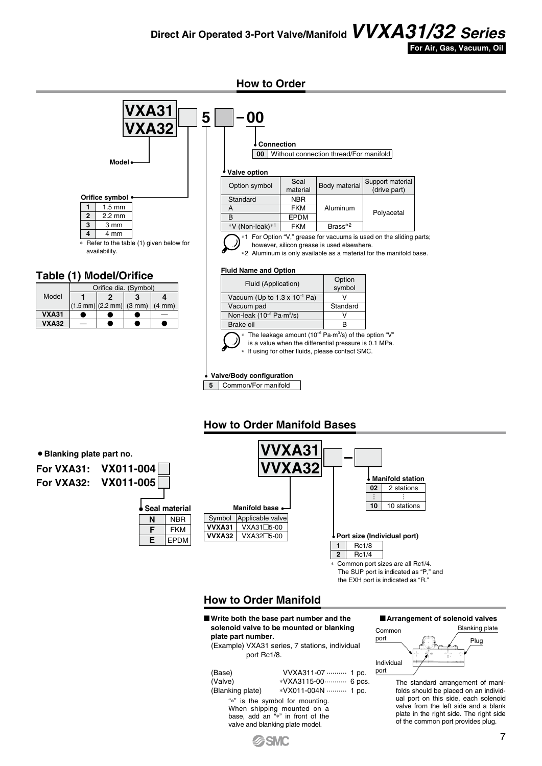### **Direct Air Operated 3-Port Valve/Manifold***VVXA31/32 Series*



**How to Order**



**For VXA32: VX011-005**

| ● Seal material |            |
|-----------------|------------|
| N               | <b>NBR</b> |
| F               | FKM        |
| Е               | EPDM       |

|        |                  | <b>VVXA31</b><br><b>VVXA32</b> |  |    |                 |
|--------|------------------|--------------------------------|--|----|-----------------|
|        |                  |                                |  |    | <b>Manifold</b> |
|        |                  |                                |  | 02 | 2 sta           |
|        |                  |                                |  |    |                 |
|        | Manifold base    |                                |  | 10 | 10 sta          |
| Symbol | Applicable valve |                                |  |    |                 |
| VVXA31 | VXA31□5-00       |                                |  |    |                 |

Common port sizes are all Rc1/4. The SUP port is indicated as "P," and the EXH port is indicated as "R." **2** Rc1/4

**Port size (Individual port)**

**1** Rc1/8

**Manifold station**

**02** 2 stations

**10** 10 stations

### **How to Order Manifold**

**VVXA32** VXA32<sub>D5-00</sub>

M **Write both the base part number and the solenoid valve to be mounted or blanking plate part number.**

(Example) VXA31 series, 7 stations, individual port Rc1/8.

| (Base)                          | VVXA311-07  1 pc.                |  |  |  |  |  |
|---------------------------------|----------------------------------|--|--|--|--|--|
| (Valve)                         | *VXA3115-00 6 pcs.               |  |  |  |  |  |
| (Blanking plate)                | *VX011-004N  1 pc.               |  |  |  |  |  |
| "*" is the symbol for mounting. |                                  |  |  |  |  |  |
| When shipping mounted on a      |                                  |  |  |  |  |  |
|                                 | base, add an "*" in front of the |  |  |  |  |  |



The standard arrangement of manifolds should be placed on an individual port on this side, each solenoid valve from the left side and a blank plate in the right side. The right side of the common port provides plug.



valve and blanking plate model.